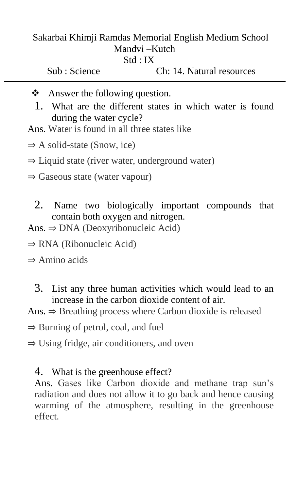### Sakarbai Khimji Ramdas Memorial English Medium School Mandvi –Kutch Std : IX

Sub : Science Ch: 14. Natural resources

- ❖ Answer the following question.
	- 1. What are the different states in which water is found during the water cycle?
- Ans. Water is found in all three states like
- $\Rightarrow$  A solid-state (Snow, ice)
- ⇒ Liquid state (river water, underground water)
- ⇒ Gaseous state (water vapour)
	- 2. Name two biologically important compounds that contain both oxygen and nitrogen.
- Ans.  $\Rightarrow$  DNA (Deoxyribonucleic Acid)
- ⇒ RNA (Ribonucleic Acid)
- $\Rightarrow$  Amino acids
	- 3. List any three human activities which would lead to an increase in the carbon dioxide content of air.

Ans.  $\Rightarrow$  Breathing process where Carbon dioxide is released

⇒ Burning of petrol, coal, and fuel

⇒ Using fridge, air conditioners, and oven

## 4. What is the greenhouse effect?

Ans. Gases like Carbon dioxide and methane trap sun's radiation and does not allow it to go back and hence causing warming of the atmosphere, resulting in the greenhouse effect.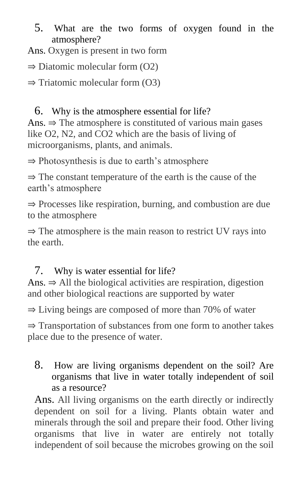5. What are the two forms of oxygen found in the atmosphere?

Ans. Oxygen is present in two form

 $\Rightarrow$  Diatomic molecular form (O2)

 $\Rightarrow$  Triatomic molecular form (O3)

6. Why is the atmosphere essential for life? Ans.  $\Rightarrow$  The atmosphere is constituted of various main gases like O2, N2, and CO2 which are the basis of living of microorganisms, plants, and animals.

⇒ Photosynthesis is due to earth's atmosphere

⇒ The constant temperature of the earth is the cause of the earth's atmosphere

⇒ Processes like respiration, burning, and combustion are due to the atmosphere

⇒ The atmosphere is the main reason to restrict UV rays into the earth.

# 7. Why is water essential for life?

Ans.  $\Rightarrow$  All the biological activities are respiration, digestion and other biological reactions are supported by water

⇒ Living beings are composed of more than 70% of water

⇒ Transportation of substances from one form to another takes place due to the presence of water.

8. How are living organisms dependent on the soil? Are organisms that live in water totally independent of soil as a resource?

Ans. All living organisms on the earth directly or indirectly dependent on soil for a living. Plants obtain water and minerals through the soil and prepare their food. Other living organisms that live in water are entirely not totally independent of soil because the microbes growing on the soil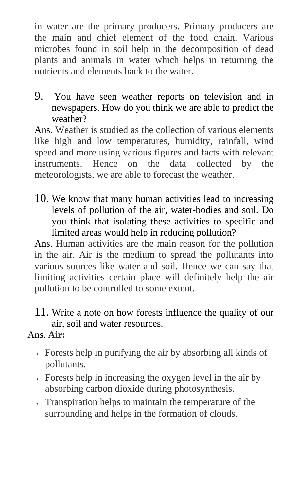in water are the primary producers. Primary producers are the main and chief element of the food chain. Various microbes found in soil help in the decomposition of dead plants and animals in water which helps in returning the nutrients and elements back to the water.

9. You have seen weather reports on television and in newspapers. How do you think we are able to predict the weather?

Ans. Weather is studied as the collection of various elements like high and low temperatures, humidity, rainfall, wind speed and more using various figures and facts with relevant instruments. Hence on the data collected by the meteorologists, we are able to forecast the weather.

10. We know that many human activities lead to increasing levels of pollution of the air, water-bodies and soil. Do you think that isolating these activities to specific and limited areas would help in reducing pollution?

Ans. Human activities are the main reason for the pollution in the air. Air is the medium to spread the pollutants into various sources like water and soil. Hence we can say that limiting activities certain place will definitely help the air pollution to be controlled to some extent.

11. Write a note on how forests influence the quality of our air, soil and water resources.

## Ans. **Air:**

- Forests help in purifying the air by absorbing all kinds of pollutants.
- Forests help in increasing the oxygen level in the air by absorbing carbon dioxide during photosynthesis.
- Transpiration helps to maintain the temperature of the surrounding and helps in the formation of clouds.